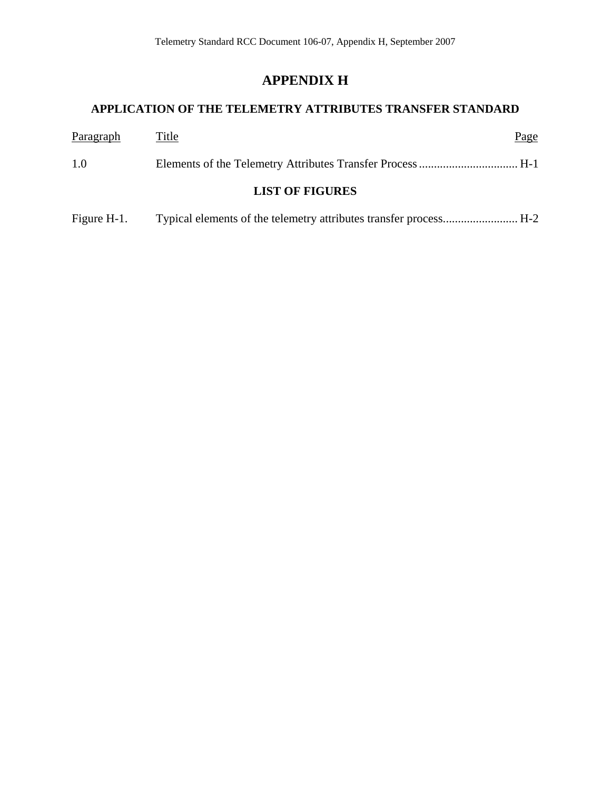# **APPENDIX H**

## **APPLICATION OF THE TELEMETRY ATTRIBUTES TRANSFER STANDARD**

| <b>Paragraph</b> | Title                  | Page |
|------------------|------------------------|------|
| 1.0              |                        |      |
|                  | <b>LIST OF FIGURES</b> |      |

Figure H-1. [Typical elements of the telemetry attributes transfer process......................... H-2](#page-3-0)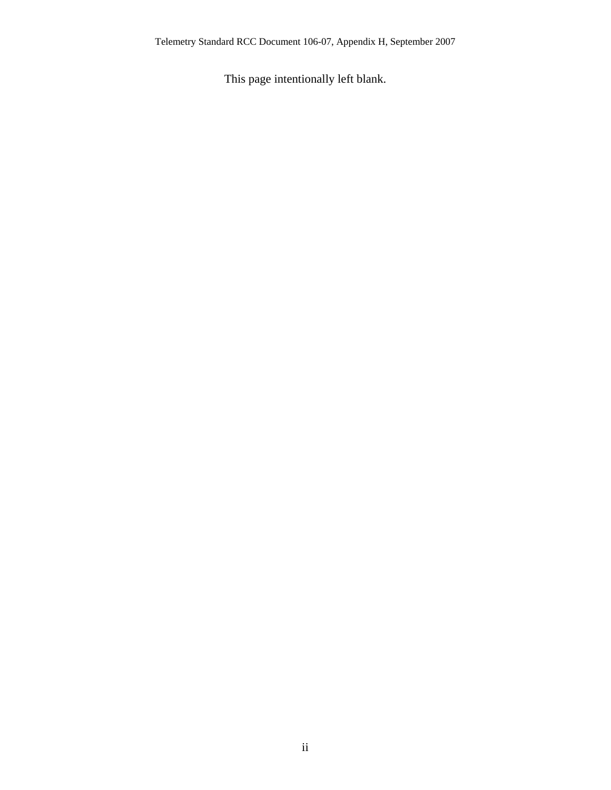This page intentionally left blank.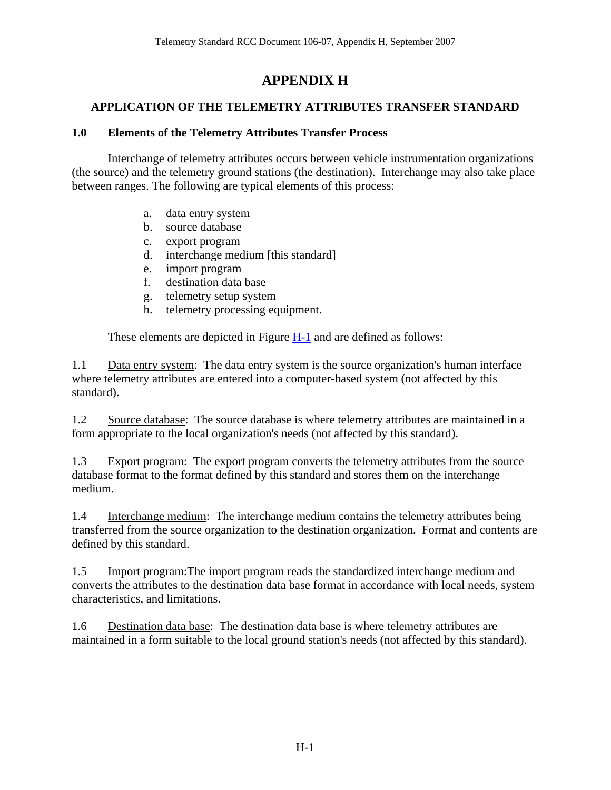# **APPENDIX H**

## <span id="page-2-0"></span>**APPLICATION OF THE TELEMETRY ATTRIBUTES TRANSFER STANDARD**

#### **1.0 Elements of the Telemetry Attributes Transfer Process**

 Interchange of telemetry attributes occurs between vehicle instrumentation organizations (the source) and the telemetry ground stations (the destination). Interchange may also take place between ranges. The following are typical elements of this process:

- a. data entry system
- b. source database
- c. export program
- d. interchange medium [this standard]
- e. import program
- f. destination data base
- g. telemetry setup system
- h. telemetry processing equipment.

These elements are depicted in Figure [H-1](#page-3-0) and are defined as follows:

1.1 Data entry system: The data entry system is the source organization's human interface where telemetry attributes are entered into a computer-based system (not affected by this standard).

1.2 Source database: The source database is where telemetry attributes are maintained in a form appropriate to the local organization's needs (not affected by this standard).

1.3 Export program: The export program converts the telemetry attributes from the source database format to the format defined by this standard and stores them on the interchange medium.

1.4 Interchange medium: The interchange medium contains the telemetry attributes being transferred from the source organization to the destination organization. Format and contents are defined by this standard.

1.5 Import program:The import program reads the standardized interchange medium and converts the attributes to the destination data base format in accordance with local needs, system characteristics, and limitations.

1.6 Destination data base: The destination data base is where telemetry attributes are maintained in a form suitable to the local ground station's needs (not affected by this standard).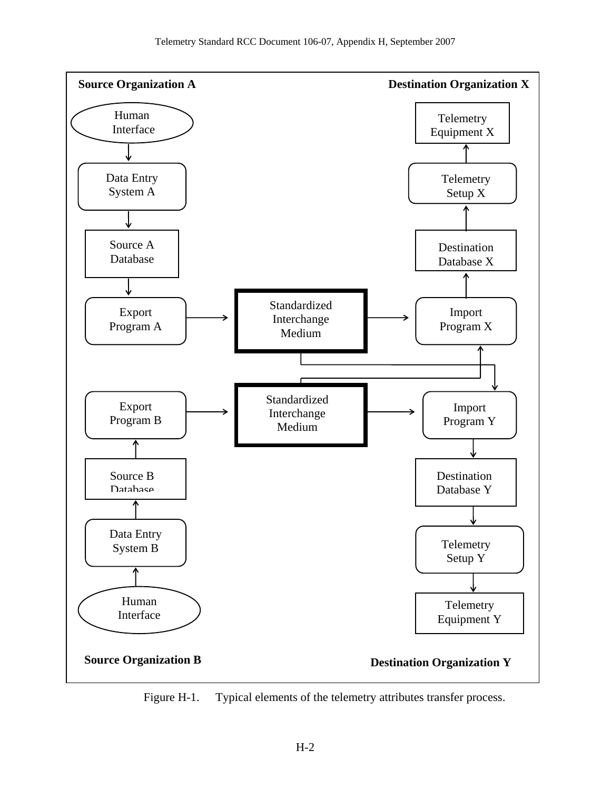<span id="page-3-0"></span>

Figure H-1. Typical elements of the telemetry attributes transfer process.